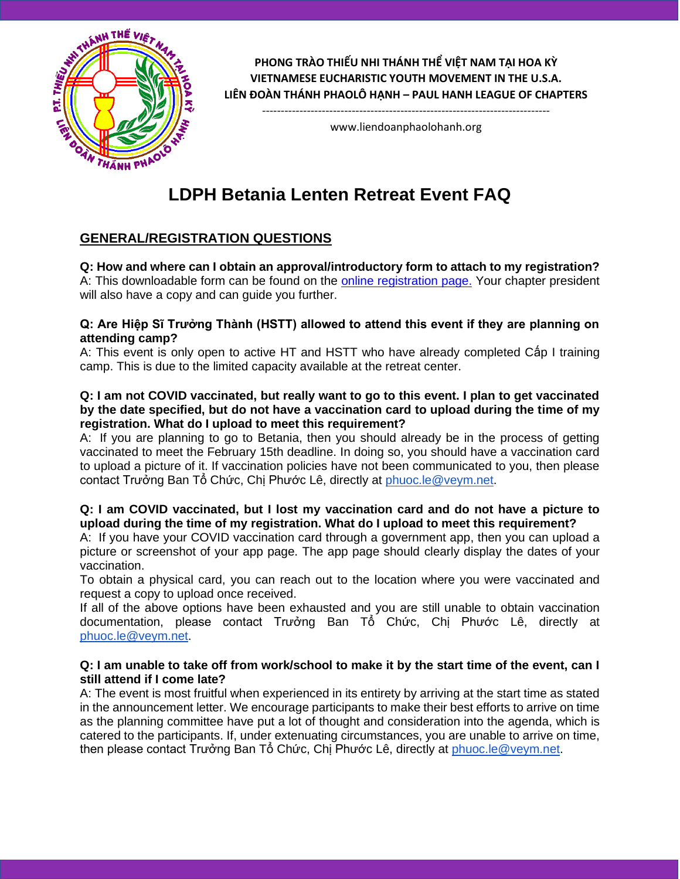

**PHONG TRÀO THIẾU NHI THÁNH THỂ VIỆT NAM TẠI HOA KỲ VIETNAMESE EUCHARISTIC YOUTH MOVEMENT IN THE U.S.A. LIÊN ĐOÀN THÁNH PHAOLÔ HẠNH – PAUL HANH LEAGUE OF CHAPTERS**

> ---------------------------------------------------------------------------- www.liendoanphaolohanh.org

# **LDPH Betania Lenten Retreat Event FAQ**

# **GENERAL/REGISTRATION QUESTIONS**

**Q: How and where can I obtain an approval/introductory form to attach to my registration?**  A: This downloadable form can be found on the [online registration page.](http://www.liendoanphaolohanh.org/betania-20-registration/) Your chapter president will also have a copy and can quide you further.

#### **Q: Are Hiệp Sĩ Trưởng Thành (HSTT) allowed to attend this event if they are planning on attending camp?**

A: This event is only open to active HT and HSTT who have already completed Cấp I training camp. This is due to the limited capacity available at the retreat center.

#### **Q: I am not COVID vaccinated, but really want to go to this event. I plan to get vaccinated by the date specified, but do not have a vaccination card to upload during the time of my registration. What do I upload to meet this requirement?**

A: If you are planning to go to Betania, then you should already be in the process of getting vaccinated to meet the February 15th deadline. In doing so, you should have a vaccination card to upload a picture of it. If vaccination policies have not been communicated to you, then please contact Trưởng Ban Tổ Chức, Chị Phước Lê, directly at [phuoc.le@veym.net.](mailto:phuoc.le@veym.net)

#### **Q: I am COVID vaccinated, but I lost my vaccination card and do not have a picture to upload during the time of my registration. What do I upload to meet this requirement?**

A: If you have your COVID vaccination card through a government app, then you can upload a picture or screenshot of your app page. The app page should clearly display the dates of your vaccination.

To obtain a physical card, you can reach out to the location where you were vaccinated and request a copy to upload once received.

If all of the above options have been exhausted and you are still unable to obtain vaccination documentation, please contact Trưởng Ban Tổ Chức, Chị Phước Lê, directly at [phuoc.le@veym.net.](mailto:phuoc.le@veym.net)

#### **Q: I am unable to take off from work/school to make it by the start time of the event, can I still attend if I come late?**

A: The event is most fruitful when experienced in its entirety by arriving at the start time as stated in the announcement letter. We encourage participants to make their best efforts to arrive on time as the planning committee have put a lot of thought and consideration into the agenda, which is catered to the participants. If, under extenuating circumstances, you are unable to arrive on time, then please contact Trưởng Ban Tổ Chức, Chị Phước Lê, directly at [phuoc.le@veym.net.](mailto:phuoc.le@veym.net)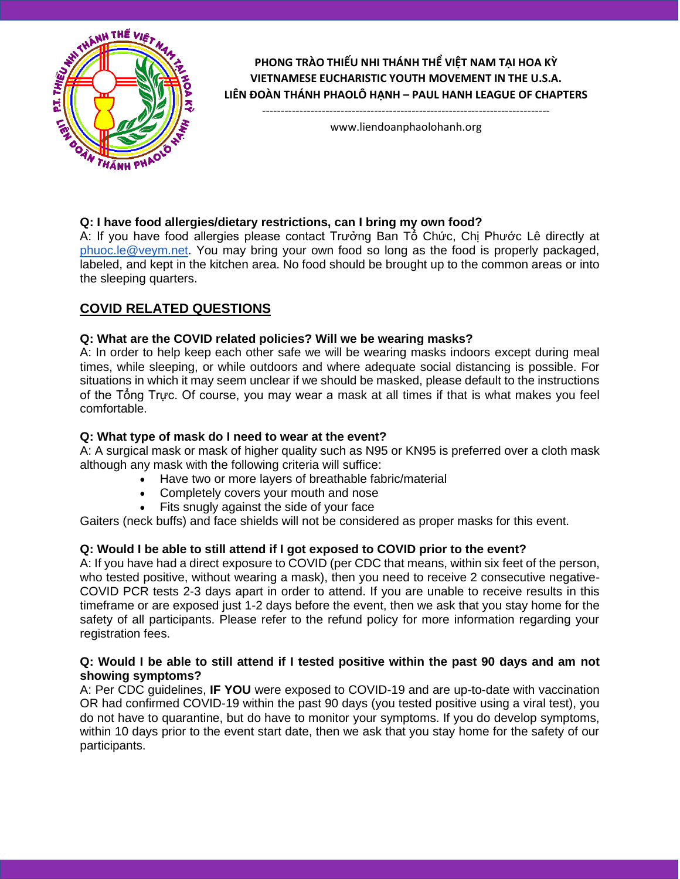

## **PHONG TRÀO THIẾU NHI THÁNH THỂ VIỆT NAM TẠI HOA KỲ VIETNAMESE EUCHARISTIC YOUTH MOVEMENT IN THE U.S.A. LIÊN ĐOÀN THÁNH PHAOLÔ HẠNH – PAUL HANH LEAGUE OF CHAPTERS**

---------------------------------------------------------------------------- www.liendoanphaolohanh.org

## **Q: I have food allergies/dietary restrictions, can I bring my own food?**

A: If you have food allergies please contact Trưởng Ban Tổ Chức, Chị Phước Lê directly at [phuoc.le@veym.net.](mailto:phuoc.le@veym.net) You may bring your own food so long as the food is properly packaged, labeled, and kept in the kitchen area. No food should be brought up to the common areas or into the sleeping quarters.

# **COVID RELATED QUESTIONS**

## **Q: What are the COVID related policies? Will we be wearing masks?**

A: In order to help keep each other safe we will be wearing masks indoors except during meal times, while sleeping, or while outdoors and where adequate social distancing is possible. For situations in which it may seem unclear if we should be masked, please default to the instructions of the Tổng Trực. Of course, you may wear a mask at all times if that is what makes you feel comfortable.

## **Q: What type of mask do I need to wear at the event?**

A: A surgical mask or mask of higher quality such as N95 or KN95 is preferred over a cloth mask although any mask with the following criteria will suffice:

- Have two or more layers of breathable fabric/material
- Completely covers your mouth and nose
- Fits snugly against the side of your face

Gaiters (neck buffs) and face shields will not be considered as proper masks for this event.

## **Q: Would I be able to still attend if I got exposed to COVID prior to the event?**

A: If you have had a direct exposure to COVID (per CDC that means, within six feet of the person, who tested positive, without wearing a mask), then you need to receive 2 consecutive negative-COVID PCR tests 2-3 days apart in order to attend. If you are unable to receive results in this timeframe or are exposed just 1-2 days before the event, then we ask that you stay home for the safety of all participants. Please refer to the refund policy for more information regarding your registration fees.

#### **Q: Would I be able to still attend if I tested positive within the past 90 days and am not showing symptoms?**

A: Per CDC guidelines, **IF YOU** were exposed to COVID-19 and are up-to-date with vaccination OR had confirmed COVID-19 within the past 90 days (you tested positive using a viral test), you do not have to quarantine, but do have to monitor your symptoms. If you do develop symptoms, within 10 days prior to the event start date, then we ask that you stay home for the safety of our participants.